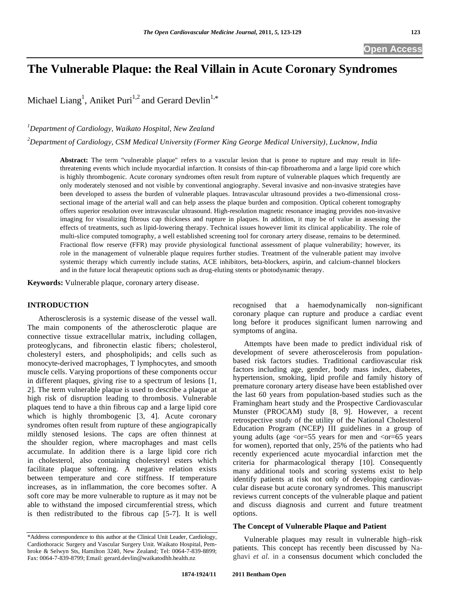# **The Vulnerable Plaque: the Real Villain in Acute Coronary Syndromes**

Michael Liang<sup>1</sup>, Aniket Puri<sup>1,2</sup> and Gerard Devlin<sup>1,\*</sup>

## *1 Department of Cardiology, Waikato Hospital, New Zealand*

*2 Department of Cardiology, CSM Medical University (Former King George Medical University), Lucknow, India* 

**Abstract:** The term "vulnerable plaque" refers to a vascular lesion that is prone to rupture and may result in lifethreatening events which include myocardial infarction. It consists of thin-cap fibroatheroma and a large lipid core which is highly thrombogenic. Acute coronary syndromes often result from rupture of vulnerable plaques which frequently are only moderately stenosed and not visible by conventional angiography. Several invasive and non-invasive strategies have been developed to assess the burden of vulnerable plaques. Intravascular ultrasound provides a two-dimensional crosssectional image of the arterial wall and can help assess the plaque burden and composition. Optical coherent tomography offers superior resolution over intravascular ultrasound. High-resolution magnetic resonance imaging provides non-invasive imaging for visualizing fibrous cap thickness and rupture in plaques. In addition, it may be of value in assessing the effects of treatments, such as lipid-lowering therapy. Technical issues however limit its clinical applicability. The role of multi-slice computed tomography, a well established screening tool for coronary artery disease, remains to be determined. Fractional flow reserve (FFR) may provide physiological functional assessment of plaque vulnerability; however, its role in the management of vulnerable plaque requires further studies. Treatment of the vulnerable patient may involve systemic therapy which currently include statins, ACE inhibitors, beta-blockers, aspirin, and calcium-channel blockers and in the future local therapeutic options such as drug-eluting stents or photodynamic therapy.

**Keywords:** Vulnerable plaque, coronary artery disease.

### **INTRODUCTION**

 Atherosclerosis is a systemic disease of the vessel wall. The main components of the atherosclerotic plaque are connective tissue extracellular matrix, including collagen, proteoglycans, and fibronectin elastic fibers; cholesterol, cholesteryl esters, and phospholipids; and cells such as monocyte-derived macrophages, T lymphocytes, and smooth muscle cells. Varying proportions of these components occur in different plaques, giving rise to a spectrum of lesions [1, 2]. The term vulnerable plaque is used to describe a plaque at high risk of disruption leading to thrombosis. Vulnerable plaques tend to have a thin fibrous cap and a large lipid core which is highly thrombogenic [3, 4]. Acute coronary syndromes often result from rupture of these angiograpically mildly stenosed lesions. The caps are often thinnest at the shoulder region, where macrophages and mast cells accumulate. In addition there is a large lipid core rich in cholesterol, also containing cholesteryl esters which facilitate plaque softening. A negative relation exists between temperature and core stiffness. If temperature increases, as in inflammation, the core becomes softer. A soft core may be more vulnerable to rupture as it may not be able to withstand the imposed circumferential stress, which is then redistributed to the fibrous cap [5-7]. It is well recognised that a haemodynamically non-significant coronary plaque can rupture and produce a cardiac event long before it produces significant lumen narrowing and symptoms of angina.

 Attempts have been made to predict individual risk of development of severe atheroscelerosis from populationbased risk factors studies. Traditional cardiovascular risk factors including age, gender, body mass index, diabetes, hypertension, smoking, lipid profile and family history of premature coronary artery disease have been established over the last 60 years from population-based studies such as the Framingham heart study and the Prospective Cardiovascular Munster (PROCAM) study [8, 9]. However, a recent retrospective study of the utility of the National Cholesterol Education Program (NCEP) III guidelines in a group of young adults (age  $\langle$ or=55 years for men and  $\langle$ or=65 years for women), reported that only, 25% of the patients who had recently experienced acute myocardial infarction met the criteria for pharmacological therapy [10]. Consequently many additional tools and scoring systems exist to help identify patients at risk not only of developing cardiovascular disease but acute coronary syndromes. This manuscript reviews current concepts of the vulnerable plaque and patient and discuss diagnosis and current and future treatment options.

#### **The Concept of Vulnerable Plaque and Patient**

 Vulnerable plaques may result in vulnerable high–risk patients. This concept has recently been discussed by Naghavi *et al.* in a consensus document which concluded the

<sup>\*</sup>Address correspondence to this author at the Clinical Unit Leader, Cardiology, Cardiothoracic Surgery and Vascular Surgery Unit. Waikato Hospital, Pembroke & Selwyn Sts, Hamilton 3240, New Zealand; Tel: 0064-7-839-8899; Fax: 0064-7-839-8799; Email: gerard.devlin@waikatodhb.health.nz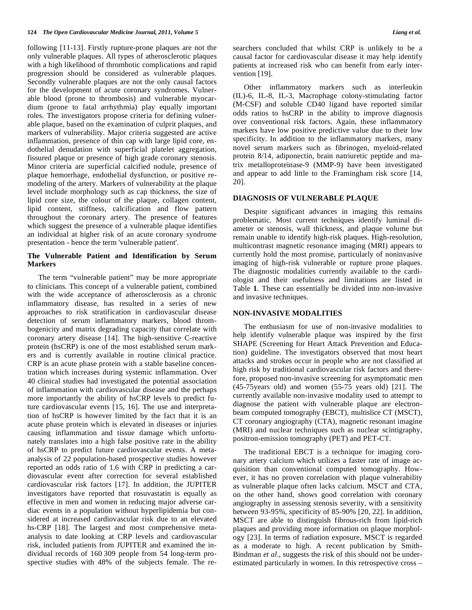following [11-13]. Firstly rupture-prone plaques are not the only vulnerable plaques. All types of atherosclerotic plaques with a high likelihood of thrombotic complications and rapid progression should be considered as vulnerable plaques. Secondly vulnerable plaques are not the only causal factors for the development of acute coronary syndromes. Vulnerable blood (prone to thrombosis) and vulnerable myocardium (prone to fatal arrhythmia) play equally important roles. The investigators propose criteria for defining vulnerable plaque, based on the examination of culprit plaques, and markers of vulnerability. Major criteria suggested are active inflammation, presence of thin cap with large lipid core, endothelial denudation with superficial platelet aggregation, fissured plaque or presence of high grade coronary stenosis. Minor criteria are superficial calcified nodule, presence of plaque hemorrhage, endothelial dysfunction, or positive remodeling of the artery. Markers of vulnerability at the plaque level include morphology such as cap thickness, the size of lipid core size, the colour of the plaque, collagen content, lipid content, stiffness, calcification and flow pattern throughout the coronary artery. The presence of features which suggest the presence of a vulnerable plaque identifies an individual at higher risk of an acute coronary syndrome presentation - hence the term 'vulnerable patient'.

#### **The Vulnerable Patient and Identification by Serum Markers**

 The term "vulnerable patient" may be more appropriate to clinicians. This concept of a vulnerable patient, combined with the wide acceptance of atherosclerosis as a chronic inflammatory disease, has resulted in a series of new approaches to risk stratification in cardiovascular disease detection of serum inflammatory markers, blood thrombogenicity and matrix degrading capacity that correlate with coronary artery disease [14]. The high-sensitive C-reactive protein (hsCRP) is one of the most established serum markers and is currently available in routine clinical practice. CRP is an acute phase protein with a stable baseline concentration which increases during systemic inflammation. Over 40 clinical studies had investigated the potential association of inflammation with cardiovascular disease and the perhaps more importantly the ability of hsCRP levels to predict future cardiovascular events [15, 16]. The use and interpretation of hsCRP is however limited by the fact that it is an acute phase protein which is elevated in diseases or injuries causing inflammation and tissue damage which unfortunately translates into a high false positive rate in the ability of hsCRP to predict future cardiovascular events. A metaanalysis of 22 population-based prospective studies however reported an odds ratio of 1.6 with CRP in predicting a cardiovascular event after correction for several established cardiovascular risk factors [17]. In addition, the JUPITER investigators have reported that rosuvastatin is equally as effective in men and women in reducing major adverse cardiac events in a population without hyperlipidemia but considered at increased cardiovascular risk due to an elevated hs-CRP [18]. The largest and most comprehensive metaanalysis to date looking at CRP levels and cardiovascular risk, included patients from JUPITER and examined the individual records of 160 309 people from 54 long-term prospective studies with 48% of the subjects female. The researchers concluded that whilst CRP is unlikely to be a causal factor for cardiovascular disease it may help identify patients at increased risk who can benefit from early intervention [19].

 Other inflammatory markers such as interleukin (IL)-6, IL-8, IL-3, Macrophage colony-stimulating factor (M-CSF) and soluble CD40 ligand have reported similar odds ratios to hsCRP in the ability to improve diagnosis over conventional risk factors. Again, these inflammatory markers have low positive predictive value due to their low specificity. In addition to the inflammatory markers, many novel serum markers such as fibrinogen, myeloid-related protein 8/14, adiponectin, brain natriuretic peptide and matrix metalloproteinase-9 (MMP-9) have been investigated and appear to add little to the Framingham risk score [14, 20].

#### **DIAGNOSIS OF VULNERABLE PLAQUE**

 Despite significant advances in imaging this remains problematic. Most current techniques identify luminal diameter or stenosis, wall thickness, and plaque volume but remain unable to identify high-risk plaques. High-resolution, multicontrast magnetic resonance imaging (MRI) appears to currently hold the most promise, particularly of noninvasive imaging of high-risk vulnerable or rupture prone plaques. The diagnostic modalities currently available to the cardiologist and their usefulness and limitations are listed in Table **1**. These can essentially be divided into non-invasive and invasive techniques.

#### **NON-INVASIVE MODALITIES**

 The enthusiasm for use of non-invasive modalities to help identify vulnerable plaque was inspired by the first SHAPE (Screening for Heart Attack Prevention and Education) guideline. The investigators observed that most heart attacks and strokes occur in people who are not classified at high risk by traditional cardiovascular risk factors and therefore, proposed non-invasive screening for asymptomatic men (45-75years old) and women (55-75 years old) [21]. The currently available non-invasive modality used to attempt to diagnose the patient with vulnerable plaque are electronbeam computed tomography (EBCT), multislice CT (MSCT), CT coronary angiography (CTA), magnetic resonant imagine (MRI) and nuclear techniques such as nuclear scintigraphy, positron-emission tomography (PET) and PET-CT.

 The traditional EBCT is a technique for imaging coronary artery calcium which utilizes a faster rate of image acquisition than conventional computed tomography. However, it has no proven correlation with plaque vulnerability as vulnerable plaque often lacks calcium. MSCT and CTA, on the other hand, shows good correlation with coronary angiography in assessing stenosis severity, with a sensitivity between 93-95%, specificity of 85-90% [20, 22]. In addition, MSCT are able to distinguish fibrous-rich from lipid-rich plaques and providing more information on plaque morphology [23]. In terms of radiation exposure, MSCT is regarded as a moderate to high. A recent publication by Smith-Bindman *et al*., suggests the risk of this should not be underestimated particularly in women. In this retrospective cross –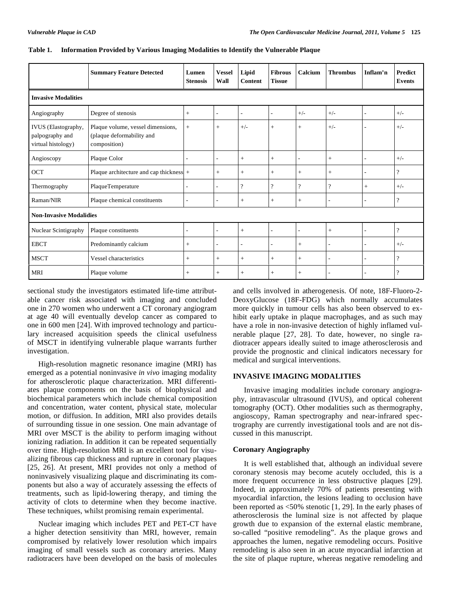|                                                              | <b>Summary Feature Detected</b>                                                | Lumen<br><b>Stenosis</b> | <b>Vessel</b><br>Wall | Lipid<br><b>Content</b>  | <b>Fibrous</b><br><b>Tissue</b> | Calcium                  | <b>Thrombus</b>          | Inflam'n                 | <b>Predict</b><br><b>Events</b> |  |  |
|--------------------------------------------------------------|--------------------------------------------------------------------------------|--------------------------|-----------------------|--------------------------|---------------------------------|--------------------------|--------------------------|--------------------------|---------------------------------|--|--|
| <b>Invasive Modalities</b>                                   |                                                                                |                          |                       |                          |                                 |                          |                          |                          |                                 |  |  |
| Angiography                                                  | Degree of stenosis                                                             | $^{+}$                   | $\overline{a}$        | $\overline{\phantom{a}}$ | ۰                               | $+/-$                    | $+/-$                    | ٠                        | $+/-$                           |  |  |
| IVUS (Elastography,<br>palpography and<br>virtual histology) | Plaque volume, vessel dimensions,<br>(plaque deformability and<br>composition) | $^{+}$                   | $+$                   | $+/-$                    | $^{+}$                          | $+$                      | $+/-$                    |                          | $+/-$                           |  |  |
| Angioscopy                                                   | Plaque Color                                                                   | ٠                        | $\overline{a}$        | $+$                      | $^{+}$                          | $\overline{a}$           | $^{+}$                   | ٠                        | $+/-$                           |  |  |
| OCT                                                          | Plaque architecture and cap thickness $  +$                                    |                          | $\qquad \qquad +$     | $+$                      | $^{+}$                          | $\! +$                   | $^{+}$                   | ٠                        | $\overline{\cdot}$              |  |  |
| Thermography                                                 | PlaqueTemperature                                                              | $\overline{a}$           |                       | $\overline{\mathcal{L}}$ | $\overline{\cdot}$              | $\overline{?}$           | $\overline{?}$           | $+$                      | $+/-$                           |  |  |
| Raman/NIR                                                    | Plaque chemical constituents                                                   | ۰                        | L,                    | $+$                      | $^{+}$                          | $^{+}$                   |                          | ٠                        | $\overline{\mathcal{L}}$        |  |  |
| <b>Non-Invasive Modalidies</b>                               |                                                                                |                          |                       |                          |                                 |                          |                          |                          |                                 |  |  |
| Nuclear Scintigraphy                                         | Plaque constituents                                                            | ٠                        |                       | $+$                      | $\overline{a}$                  | $\overline{\phantom{a}}$ | $+$                      | ٠                        | $\overline{\mathcal{L}}$        |  |  |
| <b>EBCT</b>                                                  | Predominantly calcium                                                          | $^{+}$                   |                       | ٠                        | $\overline{a}$                  | $+$                      |                          | ٠                        | $+/-$                           |  |  |
| <b>MSCT</b>                                                  | Vessel characteristics                                                         | $^{+}$                   | $\qquad \qquad +$     | $^{+}$                   | $^{+}$                          | $+$                      | $\overline{\phantom{a}}$ | $\overline{\phantom{a}}$ | $\overline{\cdot}$              |  |  |
| <b>MRI</b>                                                   | Plaque volume                                                                  | $+$                      | $+$                   | $+$                      | $^{+}$                          | $+$                      |                          | $\overline{a}$           | $\overline{\cdot}$              |  |  |

#### **Table 1. Information Provided by Various Imaging Modalities to Identify the Vulnerable Plaque**

sectional study the investigators estimated life-time attributable cancer risk associated with imaging and concluded one in 270 women who underwent a CT coronary angiogram at age 40 will eventually develop cancer as compared to one in 600 men [24]. With improved technology and particulary increased acquisition speeds the clinical usefulness of MSCT in identifying vulnerable plaque warrants further investigation.

 High-resolution magnetic resonance imagine (MRI) has emerged as a potential noninvasive *in vivo* imaging modality for atherosclerotic plaque characterization. MRI differentiates plaque components on the basis of biophysical and biochemical parameters which include chemical composition and concentration, water content, physical state, molecular motion, or diffusion. In addition, MRI also provides details of surrounding tissue in one session. One main advantage of MRI over MSCT is the ability to perform imaging without ionizing radiation. In addition it can be repeated sequentially over time. High-resolution MRI is an excellent tool for visualizing fibrous cap thickness and rupture in coronary plaques [25, 26]. At present, MRI provides not only a method of noninvasively visualizing plaque and discriminating its components but also a way of accurately assessing the effects of treatments, such as lipid-lowering therapy, and timing the activity of clots to determine when they become inactive. These techniques, whilst promising remain experimental.

 Nuclear imaging which includes PET and PET-CT have a higher detection sensitivity than MRI, however, remain compromised by relatively lower resolution which impairs imaging of small vessels such as coronary arteries. Many radiotracers have been developed on the basis of molecules

and cells involved in atherogenesis. Of note, 18F-Fluoro-2- DeoxyGlucose (18F-FDG) which normally accumulates more quickly in tumour cells has also been observed to exhibit early uptake in plaque macrophages, and as such may have a role in non-invasive detection of highly inflamed vulnerable plaque [27, 28]. To date, however, no single radiotracer appears ideally suited to image atherosclerosis and provide the prognostic and clinical indicators necessary for medical and surgical interventions.

#### **INVASIVE IMAGING MODALITIES**

 Invasive imaging modalities include coronary angiography, intravascular ultrasound (IVUS), and optical coherent tomography (OCT). Other modalities such as thermography, angioscopy, Raman spectrography and near-infrared spectrography are currently investigational tools and are not discussed in this manuscript.

#### **Coronary Angiography**

 It is well established that, although an individual severe coronary stenosis may become acutely occluded, this is a more frequent occurrence in less obstructive plaques [29]. Indeed, in approximately 70% of patients presenting with myocardial infarction, the lesions leading to occlusion have been reported as <50% stenotic [1, 29]. In the early phases of atherosclerosis the luminal size is not affected by plaque growth due to expansion of the external elastic membrane, so-called "positive remodeling". As the plaque grows and approaches the lumen, negative remodeling occurs. Positive remodeling is also seen in an acute myocardial infarction at the site of plaque rupture, whereas negative remodeling and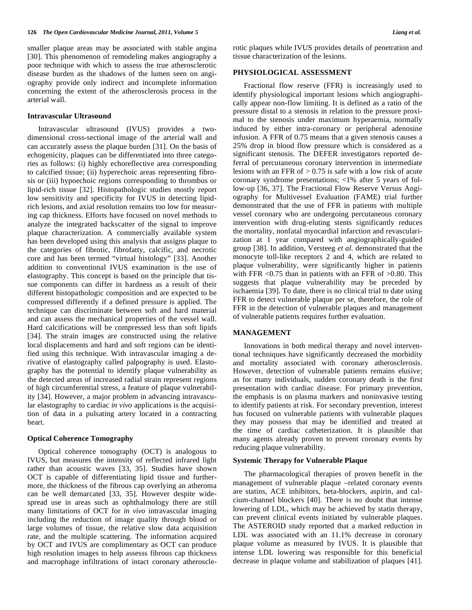smaller plaque areas may be associated with stable angina [30]. This phenomenon of remodeling makes angiography a poor technique with which to assess the true atherosclerotic disease burden as the shadows of the lumen seen on angiography provide only indirect and incomplete information concerning the extent of the atherosclerosis process in the arterial wall.

#### **Intravascular Ultrasound**

 Intravascular ultrasound (IVUS) provides a twodimensional cross-sectional image of the arterial wall and can accurately assess the plaque burden [31]. On the basis of echogenicity, plaques can be differentiated into three categories as follows: (i) highly echoreflective area corresponding to calcified tissue; (ii) hyperechoic areas representing fibrosis or (iii) hypoechoic regions corresponding to thrombus or lipid-rich tissue [32]. Histopathologic studies mostly report low sensitivity and specificity for IVUS in detecting lipidrich lesions, and axial resolution remains too low for measuring cap thickness. Efforts have focused on novel methods to analyze the integrated backscatter of the signal to improve plaque characterization. A commercially available system has been developed using this analysis that assigns plaque to the categories of fibrotic, fibrofatty, calcific, and necrotic core and has been termed "virtual histology" [33]. Another addition to conventional IVUS examination is the use of elastography. This concept is based on the principle that tissue components can differ in hardness as a result of their different histopathologic composition and are expected to be compressed differently if a defined pressure is applied. The technique can discriminate between soft and hard material and can assess the mechanical properties of the vessel wall. Hard calcifications will be compressed less than soft lipids [34]. The strain images are constructed using the relative local displacements and hard and soft regions can be identified using this technique. With intravascular imaging a derivative of elastography called palpography is used. Elastography has the potential to identify plaque vulnerability as the detected areas of increased radial strain represent regions of high circumferential stress, a feature of plaque vulnerability [34]. However, a major problem in advancing intravascular elastography to cardiac *in vivo* applications is the acquisition of data in a pulsating artery located in a contracting heart.

#### **Optical Coherence Tomography**

 Optical coherence tomography (OCT) is analogous to IVUS, but measures the intensity of reflected infrared light rather than acoustic waves [33, 35]. Studies have shown OCT is capable of differentiating lipid tissue and furthermore, the thickness of the fibrous cap overlying an atheroma can be well demarcated [33, 35]. However despite widespread use in areas such as ophthalmology there are still many limitations of OCT for *in vivo* intravascular imaging including the reduction of image quality through blood or large volumes of tissue, the relative slow data acquisition rate, and the multiple scattering. The information acquired by OCT and IVUS are complimentary as OCT can produce high resolution images to help assesss fibrous cap thickness and macrophage infiltrations of intact coronary atherosclerotic plaques while IVUS provides details of penetration and tissue characterization of the lesions.

#### **PHYSIOLOGICAL ASSESSMENT**

 Fractional flow reserve (FFR) is increasingly used to identify physiological important lesions which angiographically appear non-flow limiting. It is defined as a ratio of the pressure distal to a stenosis in relation to the pressure proximal to the stenosis under maximum hyperaemia, normally induced by either intra-coronary or peripheral adenosine infusion. A FFR of 0.75 means that a given stenosis causes a 25% drop in blood flow pressure which is considered as a significant stenosis. The DEFER investigators reported deferral of percutaneous coronary intervention in intermediate lesions with an FFR of  $> 0.75$  is safe with a low risk of acute coronary syndrome presentations; <1% after 5 years of follow-up [36, 37]. The Fractional Flow Reserve Versus Angiography for Multivessel Evaluation (FAME) trial further demonstrated that the use of FFR in patients with multiple vessel coronary who are undergoing percutaneous coronary intervention with drug-eluting stents significantly reduces the mortality, nonfatal myocardial infarction and revascularization at 1 year compared with angiographically-guided group [38]. In addition, Versteeg *et al.* demonstrated that the monocyte toll-like receptors 2 and 4, which are related to plaque vulnerability, were significantly higher in patients with FFR  $< 0.75$  than in patients with an FFR of  $> 0.80$ . This suggests that plaque vulnerability may be preceded by ischaemia [39]. To date, there is no clinical trial to date using FFR to detect vulnerable plaque per se, therefore, the role of FFR in the detection of vulnerable plaques and management of vulnerable patients requires further evaluation.

#### **MANAGEMENT**

 Innovations in both medical therapy and novel interventional techniques have significantly decreased the morbidity and mortality associated with coronary atherosclerosis. However, detection of vulnerable patients remains elusive; as for many individuals, sudden coronary death is the first presentation with cardiac disease. For primary prevention, the emphasis is on plasma markers and noninvasive testing to identify patients at risk. For secondary prevention, interest has focused on vulnerable patients with vulnerable plaques they may possess that may be identified and treated at the time of cardiac catheterization. It is plausible that many agents already proven to prevent coronary events by reducing plaque vulnerability.

#### **Systemic Therapy for Vulnerable Plaque**

 The pharmacological therapies of proven benefit in the management of vulnerable plaque –related coronary events are statins, ACE inhibitors, beta-blockers, aspirin, and calcium-channel blockers [40]. There is no doubt that intense lowering of LDL, which may be achieved by statin therapy, can prevent clinical events initiated by vulnerable plaques. The ASTEROID study reported that a marked reduction in LDL was associated with an 11.1% decrease in coronary plaque volume as measured by IVUS. It is plausible that intense LDL lowering was responsible for this beneficial decrease in plaque volume and stabilization of plaques [41].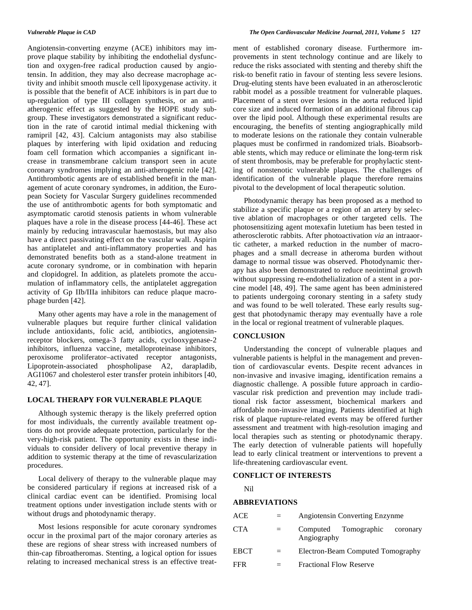Angiotensin-converting enzyme (ACE) inhibitors may improve plaque stability by inhibiting the endothelial dysfunction and oxygen-free radical production caused by angiotensin. In addition, they may also decrease macrophage activity and inhibit smooth muscle cell lipoxygenase activity. it is possible that the benefit of ACE inhibitors is in part due to up-regulation of type III collagen synthesis, or an antiatherogenic effect as suggested by the HOPE study subgroup. These investigators demonstrated a significant reduction in the rate of carotid intimal medial thickening with ramipril [42, 43]. Calcium antagonists may also stabilise plaques by interfering with lipid oxidation and reducing foam cell formation which accompanies a significant increase in transmembrane calcium transport seen in acute coronary syndromes implying an anti-atherogenic role [42]. Antithrombotic agents are of established benefit in the management of acute coronary syndromes, in addition, the European Society for Vascular Surgery guidelines recommended the use of antithrombotic agents for both symptomatic and asymptomatic carotid stenosis patients in whom vulnerable plaques have a role in the disease process [44-46]. These act mainly by reducing intravascular haemostasis, but may also have a direct passivating effect on the vascular wall. Aspirin has antiplatelet and anti-inflammatory properties and has demonstrated benefits both as a stand-alone treatment in acute coronary syndrome, or in combination with heparin and clopidogrel. In addition, as platelets promote the accumulation of inflammatory cells, the antiplatelet aggregation activity of Gp IIb/IIIa inhibitors can reduce plaque macrophage burden [42].

 Many other agents may have a role in the management of vulnerable plaques but require further clinical validation include antioxidants, folic acid, antibiotics, angiotensinreceptor blockers, omega-3 fatty acids, cyclooxygenase-2 inhibitors, influenza vaccine, metalloproteinase inhibitors, peroxisome proliferator–activated receptor antagonists, Lipoprotein-associated phospholipase A2, darapladib, AGI1067 and cholesterol ester transfer protein inhibitors [40, 42, 47].

#### **LOCAL THERAPY FOR VULNERABLE PLAQUE**

 Although systemic therapy is the likely preferred option for most individuals, the currently available treatment options do not provide adequate protection, particularly for the very-high-risk patient. The opportunity exists in these individuals to consider delivery of local preventive therapy in addition to systemic therapy at the time of revascularization procedures.

 Local delivery of therapy to the vulnerable plaque may be considered particulary if regions at increased risk of a clinical cardiac event can be identified. Promising local treatment options under investigation include stents with or without drugs and photodynamic therapy.

 Most lesions responsible for acute coronary syndromes occur in the proximal part of the major coronary arteries as these are regions of shear stress with increased numbers of thin-cap fibroatheromas. Stenting, a logical option for issues relating to increased mechanical stress is an effective treatment of established coronary disease. Furthermore improvements in stent technology continue and are likely to reduce the risks associated with stenting and thereby shift the risk-to benefit ratio in favour of stenting less severe lesions. Drug-eluting stents have been evaluated in an atherosclerotic rabbit model as a possible treatment for vulnerable plaques. Placement of a stent over lesions in the aorta reduced lipid core size and induced formation of an additional fibrous cap over the lipid pool. Although these experimental results are encouraging, the benefits of stenting angiographically mild to moderate lesions on the rationale they contain vulnerable plaques must be confirmed in randomized trials. Bioabsorbable stents, which may reduce or eliminate the long-term risk of stent thrombosis, may be preferable for prophylactic stenting of nonstenotic vulnerable plaques. The challenges of identification of the vulnerable plaque therefore remains pivotal to the development of local therapeutic solution.

 Photodynamic therapy has been proposed as a method to stabilize a specific plaque or a region of an artery by selective ablation of macrophages or other targeted cells. The photosensitizing agent motexafin lutetium has been tested in atherosclerotic rabbits. After photoactivation *via* an intraaortic catheter, a marked reduction in the number of macrophages and a small decrease in atheroma burden without damage to normal tissue was observed. Photodynamic therapy has also been demonstrated to reduce neointimal growth without suppressing re-endothelialization of a stent in a porcine model [48, 49]. The same agent has been administered to patients undergoing coronary stenting in a safety study and was found to be well tolerated. These early results suggest that photodynamic therapy may eventually have a role in the local or regional treatment of vulnerable plaques.

### **CONCLUSION**

 Understanding the concept of vulnerable plaques and vulnerable patients is helpful in the management and prevention of cardiovascular events. Despite recent advances in non-invasive and invasive imaging, identification remains a diagnostic challenge. A possible future approach in cardiovascular risk prediction and prevention may include traditional risk factor assessment, biochemical markers and affordable non-invasive imaging. Patients identified at high risk of plaque rupture-related events may be offered further assessment and treatment with high-resolution imaging and local therapies such as stenting or photodynamic therapy. The early detection of vulnerable patients will hopefully lead to early clinical treatment or interventions to prevent a life-threatening cardiovascular event.

#### **CONFLICT OF INTERESTS**

Nil

#### **ABBREVIATIONS**

| ACE         | $=$ | Angiotensin Converting Enzynme               |  |  |  |
|-------------|-----|----------------------------------------------|--|--|--|
| <b>CTA</b>  | $=$ | Computed Tomographic coronary<br>Angiography |  |  |  |
| <b>EBCT</b> |     | Electron-Beam Computed Tomography            |  |  |  |
| <b>FFR</b>  |     | <b>Fractional Flow Reserve</b>               |  |  |  |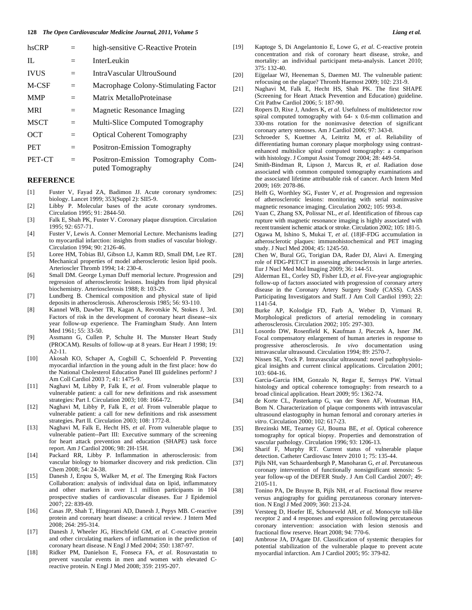| hsCRP       | $=$ | high-sensitive C-Reactive Protein    |  |
|-------------|-----|--------------------------------------|--|
| $\Pi$ .     | $=$ | InterLeukin                          |  |
| <b>IVUS</b> | $=$ | IntraVascular UltrouSound            |  |
| M-CSF       | $=$ | Macrophage Colony-Stimulating Factor |  |
| <b>MMP</b>  | $=$ | Matrix MetalloProteinase             |  |
| <b>MRI</b>  | $=$ | Magnetic Resonance Imaging           |  |
| <b>MSCT</b> | $=$ | Multi-Slice Computed Tomography      |  |
| OCT         | $=$ | <b>Optical Coherent Tomography</b>   |  |
| <b>PET</b>  | $=$ | Positron-Emission Tomography         |  |
| PET-CT      |     | Positron-Emission Tomography Com-    |  |

#### **REFERENCE**

[1] Fuster V, Fayad ZA, Badimon JJ. Acute coronary syndromes: biology. Lancet 1999; 353(Suppl 2): SII5-9.

puted Tomography

- [2] Libby P. Molecular bases of the acute coronary syndromes. Circulation 1995; 91: 2844-50.
- [3] Falk E, Shah PK, Fuster V. Coronary plaque disruption. Circulation 1995; 92: 657-71.
- [4] Fuster V, Lewis A. Conner Memorial Lecture. Mechanisms leading to myocardial infarction: insights from studies of vascular biology. Circulation 1994; 90: 2126-46.
- [5] Loree HM, Tobias BJ, Gibson LJ, Kamm RD, Small DM, Lee RT. Mechanical properties of model atherosclerotic lesion lipid pools. Arterioscler Thromb 1994; 14: 230-4.
- [6] Small DM. George Lyman Duff memorial lecture. Progression and regression of atherosclerotic lesions. Insights from lipid physical biochemistry. Arteriosclerosis 1988; 8: 103-29.
- [7] Lundberg B. Chemical composition and physical state of lipid deposits in atherosclerosis. Atherosclerosis 1985; 56: 93-110.
- [8] Kannel WB, Dawber TR, Kagan A, Revotskie N, Stokes J, 3rd. Factors of risk in the development of coronary heart disease--six year follow-up experience. The Framingham Study. Ann Intern Med 1961; 55: 33-50.
- [9] Assmann G, Cullen P, Schulte H. The Munster Heart Study (PROCAM). Results of follow-up at 8 years. Eur Heart J 1998; 19: A2-11.
- [10] Akosah KO, Schaper A, Cogbill C, Schoenfeld P. Preventing myocardial infarction in the young adult in the first place: how do the National Cholesterol Education Panel III guidelines perform? J Am Coll Cardiol 2003 7; 41: 1475-9.
- [11] Naghavi M, Libby P, Falk E, *et al*. From vulnerable plaque to vulnerable patient: a call for new definitions and risk assessment strategies: Part I. Circulation 2003; 108: 1664-72.
- [12] Naghavi M, Libby P, Falk E, *et al*. From vulnerable plaque to vulnerable patient: a call for new definitions and risk assessment strategies. Part II. Circulation 2003; 108: 1772-8.
- [13] Naghavi M, Falk E, Hecht HS, *et al*. From vulnerable plaque to vulnerable patient--Part III: Executive summary of the screening for heart attack prevention and education (SHAPE) task force report. Am J Cardiol 2006; 98: 2H-15H.
- [14] Packard RR, Libby P. Inflammation in atherosclerosis: from vascular biology to biomarker discovery and risk prediction. Clin Chem 2008; 54: 24-38.
- [15] Danesh J, Erqou S, Walker M, *et al*. The Emerging Risk Factors Collaboration: analysis of individual data on lipid, inflammatory and other markers in over 1.1 million participants in 104 prospective studies of cardiovascular diseases. Eur J Epidemiol 2007; 22: 839-69.
- [16] Casas JP, Shah T, Hingorani AD, Danesh J, Pepys MB. C-reactive protein and coronary heart disease: a critical review. J Intern Med 2008; 264: 295-314.
- [17] Danesh J, Wheeler JG, Hirschfield GM, *et al*. C-reactive protein and other circulating markers of inflammation in the prediction of coronary heart disease. N Engl J Med 2004; 350: 1387-97.
- [18] Ridker PM, Danielson E, Fonseca FA, *et al*. Rosuvastatin to prevent vascular events in men and women with elevated Creactive protein. N Engl J Med 2008; 359: 2195-207.
- [19] Kaptoge S, Di Angelantonio E, Lowe G, *et al*. C-reactive protein concentration and risk of coronary heart disease, stroke, and mortality: an individual participant meta-analysis. Lancet 2010;  $375 \cdot 132 - 40$
- [20] Eijgelaar WJ, Heeneman S, Daemen MJ. The vulnerable patient: refocusing on the plaque? Thromb Haemost 2009; 102: 231-9.
- [21] Naghavi M, Falk E, Hecht HS, Shah PK. The first SHAPE (Screening for Heart Attack Prevention and Education) guideline. Crit Pathw Cardiol 2006; 5: 187-90.
- [22] Ropers D, Rixe J, Anders K, *et al*. Usefulness of multidetector row spiral computed tomography with 64- x 0.6-mm collimation and 330-ms rotation for the noninvasive detection of significant coronary artery stenoses. Am J Cardiol 2006; 97: 343-8.
- [23] Schroeder S, Kuettner A, Leitritz M, *et al*. Reliability of differentiating human coronary plaque morphology using contrastenhanced multislice spiral computed tomography: a comparison with histology. J Comput Assist Tomogr 2004; 28: 449-54.
- [24] Smith-Bindman R, Lipson J, Marcus R, *et al*. Radiation dose associated with common computed tomography examinations and the associated lifetime attributable risk of cancer. Arch Intern Med 2009; 169: 2078-86.
- [25] Helft G, Worthley SG, Fuster V, *et al*. Progression and regression of atherosclerotic lesions: monitoring with serial noninvasive magnetic resonance imaging. Circulation 2002; 105: 993-8.
- [26] Yuan C, Zhang SX, Polissar NL, *et al*. Identification of fibrous cap rupture with magnetic resonance imaging is highly associated with recent transient ischemic attack or stroke. Circulation 2002; 105: 181-5.
- [27] Ogawa M, Ishino S, Mukai T, *et al*. (18)F-FDG accumulation in atherosclerotic plaques: immunohistochemical and PET imaging study. J Nucl Med 2004; 45: 1245-50.
- [28] Chen W, Bural GG, Torigian DA, Rader DJ, Alavi A. Emerging role of FDG-PET/CT in assessing atherosclerosis in large arteries. Eur J Nucl Med Mol Imaging 2009; 36: 144-51.
- [29] Alderman EL, Corley SD, Fisher LD, *et al*. Five-year angiographic follow-up of factors associated with progression of coronary artery disease in the Coronary Artery Surgery Study (CASS). CASS Participating Investigators and Staff. J Am Coll Cardiol 1993; 22: 1141-54.
- [30] Burke AP, Kolodgie FD, Farb A, Weber D, Virmani R. Morphological predictors of arterial remodeling in coronary atherosclerosis. Circulation 2002; 105: 297-303.
- [31] Losordo DW, Rosenfield K, Kaufman J, Pieczek A, Isner JM. Focal compensatory enlargement of human arteries in response to progressive atherosclerosis. *In vivo* documentation using intravascular ultrasound. Circulation 1994; 89: 2570-7.
- [32] Nissen SE, Yock P. Intravascular ultrasound: novel pathophysiological insights and current clinical applications. Circulation 2001;  $103.604-16$
- [33] Garcia-Garcia HM, Gonzalo N, Regar E, Serruys PW. Virtual histology and optical coherence tomography: from research to a broad clinical application. Heart 2009; 95: 1362-74.
- [34] de Korte CL, Pasterkamp G, van der Steen AF, Woutman HA, Bom N. Characterization of plaque components with intravascular ultrasound elastography in human femoral and coronary arteries *in vitro*. Circulation 2000; 102: 617-23.
- [35] Brezinski ME, Tearney GJ, Bouma BE, *et al*. Optical coherence tomography for optical biopsy. Properties and demonstration of vascular pathology. Circulation 1996; 93: 1206-13.
- [36] Sharif F, Murphy RT. Current status of vulnerable plaque detection. Catheter Cardiovasc Interv 2010 1; 75: 135-44.
- [37] Pijls NH, van Schaardenburgh P, Manoharan G, *et al*. Percutaneous coronary intervention of functionally nonsignificant stenosis: 5 year follow-up of the DEFER Study. J Am Coll Cardiol 2007; 49: 2105-11.
- [38] Tonino PA, De Bruyne B, Pijls NH, *et al*. Fractional flow reserve versus angiography for guiding percutaneous coronary intervention. N Engl J Med 2009; 360: 213-24.
- [39] Versteeg D, Hoefer IE, Schoneveld AH, *et al*. Monocyte toll-like receptor 2 and 4 responses and expression following percutaneous coronary intervention: association with lesion stenosis and fractional flow reserve. Heart 2008; 94: 770-6.
- [40] Ambrose JA, D'Agate DJ. Classification of systemic therapies for potential stabilization of the vulnerable plaque to prevent acute myocardial infarction. Am J Cardiol 2005; 95: 379-82.